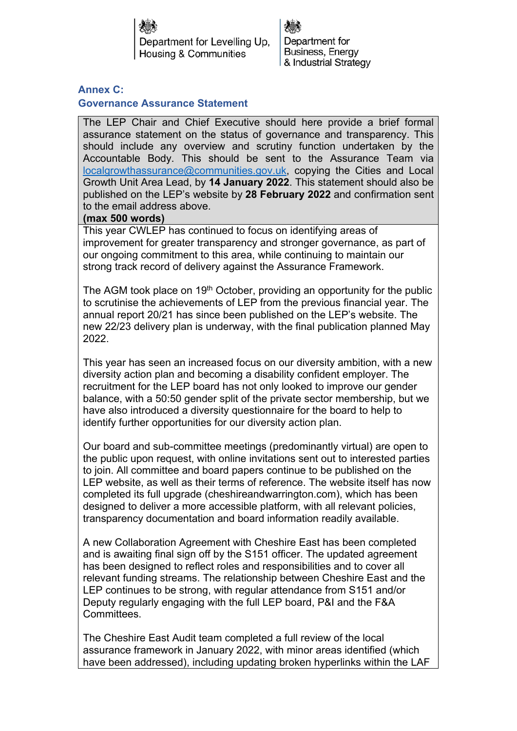Department for Levelling Up. Housing & Communities

Department for Business, Energy & Industrial Strategy

## **Annex C:**

## **Governance Assurance Statement**

The LEP Chair and Chief Executive should here provide a brief formal assurance statement on the status of governance and transparency. This should include any overview and scrutiny function undertaken by the Accountable Body. This should be sent to the Assurance Team via [localgrowthassurance@communities.gov.uk,](mailto:localgrowthassurance@communities.gov.uk) copying the Cities and Local Growth Unit Area Lead, by **14 January 2022**. This statement should also be published on the LEP's website by **28 February 2022** and confirmation sent to the email address above.

## **(max 500 words)**

This year CWLEP has continued to focus on identifying areas of improvement for greater transparency and stronger governance, as part of our ongoing commitment to this area, while continuing to maintain our strong track record of delivery against the Assurance Framework.

The AGM took place on 19<sup>th</sup> October, providing an opportunity for the public to scrutinise the achievements of LEP from the previous financial year. The annual report 20/21 has since been published on the LEP's website. The new 22/23 delivery plan is underway, with the final publication planned May 2022.

This year has seen an increased focus on our diversity ambition, with a new diversity action plan and becoming a disability confident employer. The recruitment for the LEP board has not only looked to improve our gender balance, with a 50:50 gender split of the private sector membership, but we have also introduced a diversity questionnaire for the board to help to identify further opportunities for our diversity action plan.

Our board and sub-committee meetings (predominantly virtual) are open to the public upon request, with online invitations sent out to interested parties to join. All committee and board papers continue to be published on the LEP website, as well as their terms of reference. The website itself has now completed its full upgrade (cheshireandwarrington.com), which has been designed to deliver a more accessible platform, with all relevant policies, transparency documentation and board information readily available.

A new Collaboration Agreement with Cheshire East has been completed and is awaiting final sign off by the S151 officer. The updated agreement has been designed to reflect roles and responsibilities and to cover all relevant funding streams. The relationship between Cheshire East and the LEP continues to be strong, with regular attendance from S151 and/or Deputy regularly engaging with the full LEP board, P&I and the F&A **Committees** 

The Cheshire East Audit team completed a full review of the local assurance framework in January 2022, with minor areas identified (which have been addressed), including updating broken hyperlinks within the LAF